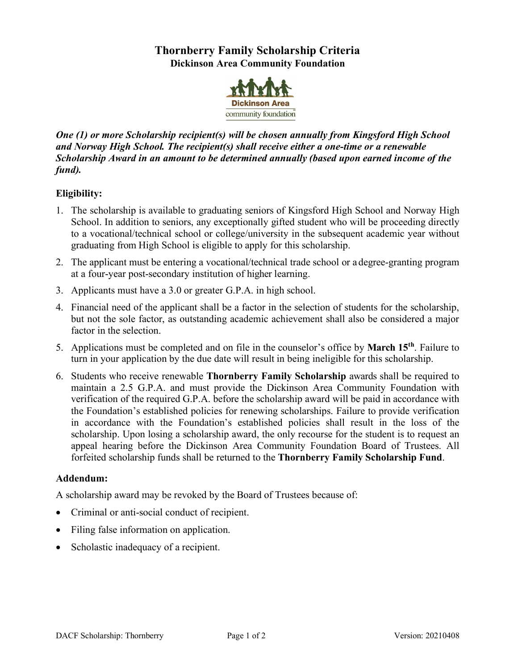# **Thornberry Family Scholarship Criteria Dickinson Area Community Foundation**



*One (1) or more Scholarship recipient(s) will be chosen annually from Kingsford High School and Norway High School. The recipient(s) shall receive either a one-time or a renewable Scholarship Award in an amount to be determined annually (based upon earned income of the fund).*

# **Eligibility:**

- 1. The scholarship is available to graduating seniors of Kingsford High School and Norway High School. In addition to seniors, any exceptionally gifted student who will be proceeding directly to a vocational/technical school or college/university in the subsequent academic year without graduating from High School is eligible to apply for this scholarship.
- 2. The applicant must be entering a vocational/technical trade school or a degree-granting program at a four-year post-secondary institution of higher learning.
- 3. Applicants must have a 3.0 or greater G.P.A. in high school.
- 4. Financial need of the applicant shall be a factor in the selection of students for the scholarship, but not the sole factor, as outstanding academic achievement shall also be considered a major factor in the selection.
- 5. Applications must be completed and on file in the counselor's office by **March 15th**. Failure to turn in your application by the due date will result in being ineligible for this scholarship.
- 6. Students who receive renewable **Thornberry Family Scholarship** awards shall be required to maintain a 2.5 G.P.A. and must provide the Dickinson Area Community Foundation with verification of the required G.P.A. before the scholarship award will be paid in accordance with the Foundation's established policies for renewing scholarships. Failure to provide verification in accordance with the Foundation's established policies shall result in the loss of the scholarship. Upon losing a scholarship award, the only recourse for the student is to request an appeal hearing before the Dickinson Area Community Foundation Board of Trustees. All forfeited scholarship funds shall be returned to the **Thornberry Family Scholarship Fund**.

## **Addendum:**

A scholarship award may be revoked by the Board of Trustees because of:

- Criminal or anti-social conduct of recipient.
- Filing false information on application.
- Scholastic inadequacy of a recipient.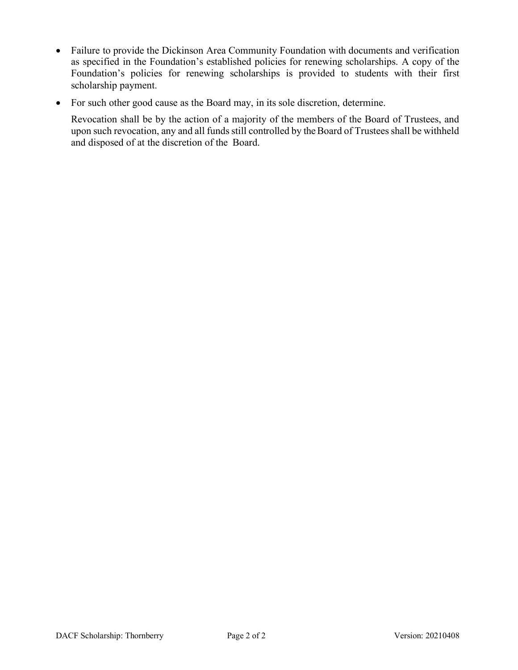- Failure to provide the Dickinson Area Community Foundation with documents and verification as specified in the Foundation's established policies for renewing scholarships. A copy of the Foundation's policies for renewing scholarships is provided to students with their first scholarship payment.
- For such other good cause as the Board may, in its sole discretion, determine.

Revocation shall be by the action of a majority of the members of the Board of Trustees, and upon such revocation, any and all funds still controlled by the Board of Trustees shall be withheld and disposed of at the discretion of the Board.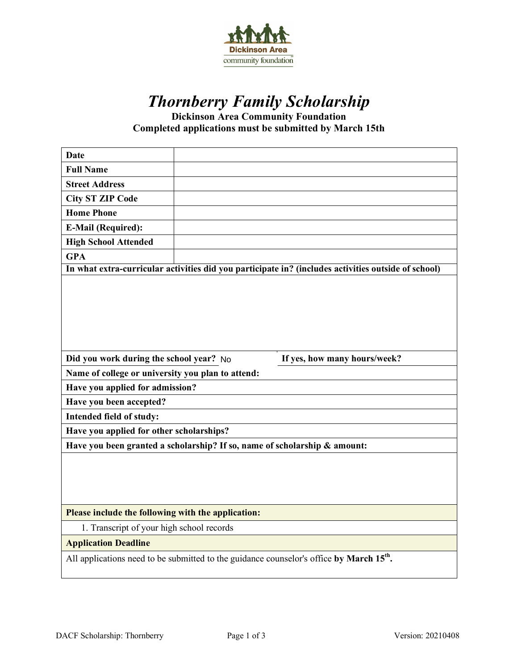

# *Thornberry Family Scholarship*

**Dickinson Area Community Foundation Completed applications must be submitted by March 15th**

| <b>Date</b>                                                               |                                                                                                      |  |  |
|---------------------------------------------------------------------------|------------------------------------------------------------------------------------------------------|--|--|
| <b>Full Name</b>                                                          |                                                                                                      |  |  |
| <b>Street Address</b>                                                     |                                                                                                      |  |  |
| <b>City ST ZIP Code</b>                                                   |                                                                                                      |  |  |
| <b>Home Phone</b>                                                         |                                                                                                      |  |  |
| <b>E-Mail (Required):</b>                                                 |                                                                                                      |  |  |
| <b>High School Attended</b>                                               |                                                                                                      |  |  |
| <b>GPA</b>                                                                |                                                                                                      |  |  |
|                                                                           | In what extra-curricular activities did you participate in? (includes activities outside of school)  |  |  |
|                                                                           |                                                                                                      |  |  |
| Did you work during the school year? No                                   | If yes, how many hours/week?                                                                         |  |  |
| Name of college or university you plan to attend:                         |                                                                                                      |  |  |
| Have you applied for admission?                                           |                                                                                                      |  |  |
| Have you been accepted?                                                   |                                                                                                      |  |  |
| Intended field of study:                                                  |                                                                                                      |  |  |
| Have you applied for other scholarships?                                  |                                                                                                      |  |  |
| Have you been granted a scholarship? If so, name of scholarship & amount: |                                                                                                      |  |  |
|                                                                           |                                                                                                      |  |  |
| Please include the following with the application:                        |                                                                                                      |  |  |
| 1. Transcript of your high school records                                 |                                                                                                      |  |  |
| <b>Application Deadline</b>                                               |                                                                                                      |  |  |
|                                                                           | All applications need to be submitted to the guidance counselor's office by March 15 <sup>th</sup> . |  |  |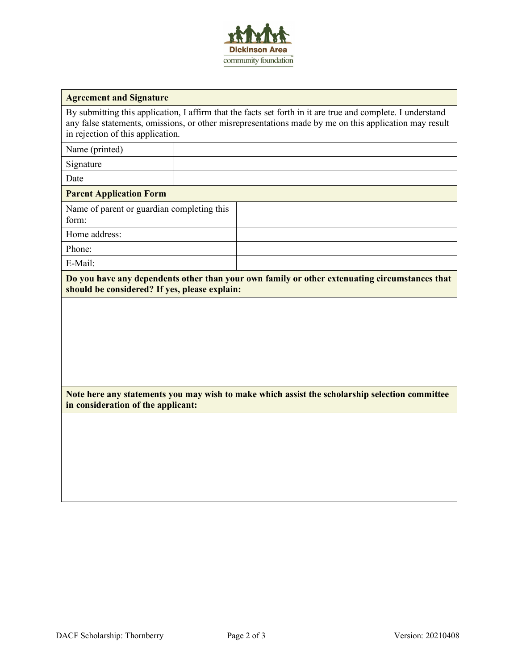

#### **Agreement and Signature**

By submitting this application, I affirm that the facts set forth in it are true and complete. I understand any false statements, omissions, or other misrepresentations made by me on this application may result in rejection of this application.

Name (printed)

Signature

Date

#### **Parent Application Form**

Name of parent or guardian completing this form:

Home address:

Phone: E-Mail:

**Do you have any dependents other than your own family or other extenuating circumstances that should be considered? If yes, please explain:**

**Note here any statements you may wish to make which assist the scholarship selection committee in consideration of the applicant:**